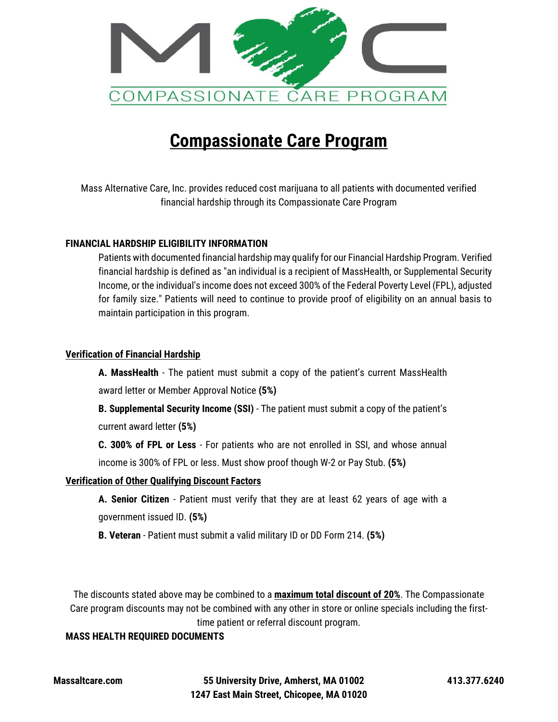

# **Compassionate Care Program**

Mass Alternative Care, Inc. provides reduced cost marijuana to all patients with documented verified financial hardship through its Compassionate Care Program

## **FINANCIAL HARDSHIP ELIGIBILITY INFORMATION**

Patients with documented financial hardship may qualify for our Financial Hardship Program. Verified financial hardship is defined as "an individual is a recipient of MassHealth, or Supplemental Security Income, or the individual's income does not exceed 300% of the Federal Poverty Level (FPL), adjusted for family size." Patients will need to continue to provide proof of eligibility on an annual basis to maintain participation in this program.

#### **Verification of Financial Hardship**

**A. MassHealth** - The patient must submit a copy of the patient's current MassHealth award letter or Member Approval Notice **(5%)** 

**B. Supplemental Security Income (SSI)** - The patient must submit a copy of the patient's current award letter **(5%)**

**C. 300% of FPL or Less** - For patients who are not enrolled in SSI, and whose annual income is 300% of FPL or less. Must show proof though W-2 or Pay Stub. **(5%)**

## **Verification of Other Qualifying Discount Factors**

**A. Senior Citizen** - Patient must verify that they are at least 62 years of age with a government issued ID. **(5%)** 

**B. Veteran** - Patient must submit a valid military ID or DD Form 214. **(5%)**

The discounts stated above may be combined to a **maximum total discount of 20%**. The Compassionate Care program discounts may not be combined with any other in store or online specials including the firsttime patient or referral discount program.

## **MASS HEALTH REQUIRED DOCUMENTS**